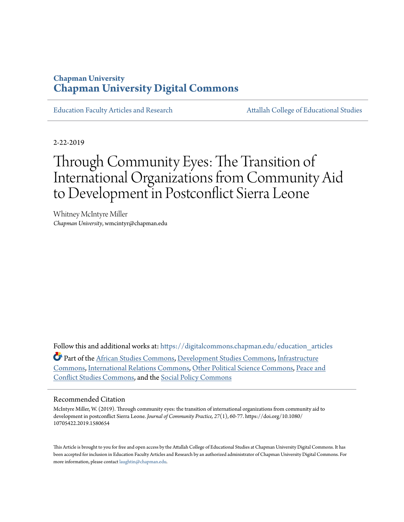### **Chapman University [Chapman University Digital Commons](https://digitalcommons.chapman.edu?utm_source=digitalcommons.chapman.edu%2Feducation_articles%2F236&utm_medium=PDF&utm_campaign=PDFCoverPages)**

[Education Faculty Articles and Research](https://digitalcommons.chapman.edu/education_articles?utm_source=digitalcommons.chapman.edu%2Feducation_articles%2F236&utm_medium=PDF&utm_campaign=PDFCoverPages) [Attallah College of Educational Studies](https://digitalcommons.chapman.edu/ces?utm_source=digitalcommons.chapman.edu%2Feducation_articles%2F236&utm_medium=PDF&utm_campaign=PDFCoverPages)

2-22-2019

# Through Community Eyes: The Transition of International Organizations from Community Aid to Development in Postconflict Sierra Leone

Whitney McIntyre Miller *Chapman University*, wmcintyr@chapman.edu

Follow this and additional works at: [https://digitalcommons.chapman.edu/education\\_articles](https://digitalcommons.chapman.edu/education_articles?utm_source=digitalcommons.chapman.edu%2Feducation_articles%2F236&utm_medium=PDF&utm_campaign=PDFCoverPages) Part of the [African Studies Commons](http://network.bepress.com/hgg/discipline/1043?utm_source=digitalcommons.chapman.edu%2Feducation_articles%2F236&utm_medium=PDF&utm_campaign=PDFCoverPages), [Development Studies Commons,](http://network.bepress.com/hgg/discipline/1422?utm_source=digitalcommons.chapman.edu%2Feducation_articles%2F236&utm_medium=PDF&utm_campaign=PDFCoverPages) [Infrastructure](http://network.bepress.com/hgg/discipline/1066?utm_source=digitalcommons.chapman.edu%2Feducation_articles%2F236&utm_medium=PDF&utm_campaign=PDFCoverPages) [Commons,](http://network.bepress.com/hgg/discipline/1066?utm_source=digitalcommons.chapman.edu%2Feducation_articles%2F236&utm_medium=PDF&utm_campaign=PDFCoverPages) [International Relations Commons,](http://network.bepress.com/hgg/discipline/389?utm_source=digitalcommons.chapman.edu%2Feducation_articles%2F236&utm_medium=PDF&utm_campaign=PDFCoverPages) [Other Political Science Commons](http://network.bepress.com/hgg/discipline/392?utm_source=digitalcommons.chapman.edu%2Feducation_articles%2F236&utm_medium=PDF&utm_campaign=PDFCoverPages), [Peace and](http://network.bepress.com/hgg/discipline/397?utm_source=digitalcommons.chapman.edu%2Feducation_articles%2F236&utm_medium=PDF&utm_campaign=PDFCoverPages) [Conflict Studies Commons](http://network.bepress.com/hgg/discipline/397?utm_source=digitalcommons.chapman.edu%2Feducation_articles%2F236&utm_medium=PDF&utm_campaign=PDFCoverPages), and the [Social Policy Commons](http://network.bepress.com/hgg/discipline/1030?utm_source=digitalcommons.chapman.edu%2Feducation_articles%2F236&utm_medium=PDF&utm_campaign=PDFCoverPages)

#### Recommended Citation

McIntyre Miller, W. (2019). Through community eyes: the transition of international organizations from community aid to development in postconflict Sierra Leone. *Journal of Community Practice, 27*(1), 60-77. https://doi.org/10.1080/ 10705422.2019.1580654

This Article is brought to you for free and open access by the Attallah College of Educational Studies at Chapman University Digital Commons. It has been accepted for inclusion in Education Faculty Articles and Research by an authorized administrator of Chapman University Digital Commons. For more information, please contact [laughtin@chapman.edu](mailto:laughtin@chapman.edu).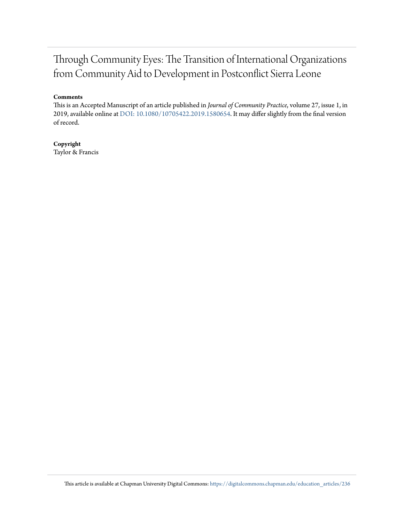## Through Community Eyes: The Transition of International Organizations from Community Aid to Development in Postconflict Sierra Leone

#### **Comments**

This is an Accepted Manuscript of an article published in *Journal of Community Practice*, volume 27, issue 1, in 2019, available online at [DOI: 10.1080/10705422.2019.1580654](https://doi.org/10.1080/10705422.2019.1580654). It may differ slightly from the final version of record.

#### **Copyright** Taylor & Francis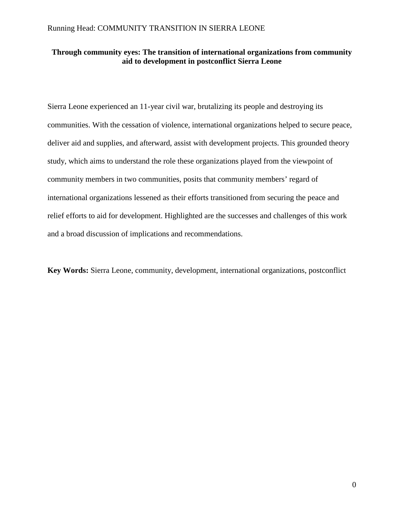#### **Through community eyes: The transition of international organizations from community aid to development in postconflict Sierra Leone**

Sierra Leone experienced an 11-year civil war, brutalizing its people and destroying its communities. With the cessation of violence, international organizations helped to secure peace, deliver aid and supplies, and afterward, assist with development projects. This grounded theory study, which aims to understand the role these organizations played from the viewpoint of community members in two communities, posits that community members' regard of international organizations lessened as their efforts transitioned from securing the peace and relief efforts to aid for development. Highlighted are the successes and challenges of this work and a broad discussion of implications and recommendations.

**Key Words:** Sierra Leone, community, development, international organizations, postconflict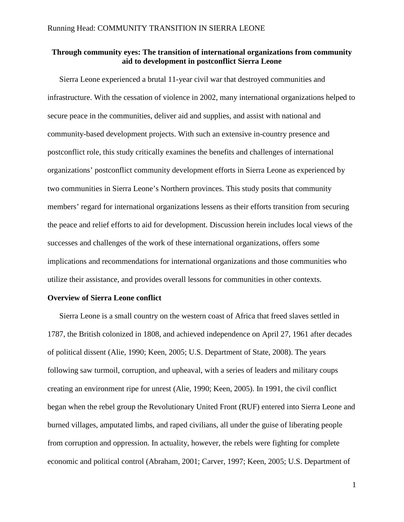#### **Through community eyes: The transition of international organizations from community aid to development in postconflict Sierra Leone**

Sierra Leone experienced a brutal 11-year civil war that destroyed communities and infrastructure. With the cessation of violence in 2002, many international organizations helped to secure peace in the communities, deliver aid and supplies, and assist with national and community-based development projects. With such an extensive in-country presence and postconflict role, this study critically examines the benefits and challenges of international organizations' postconflict community development efforts in Sierra Leone as experienced by two communities in Sierra Leone's Northern provinces. This study posits that community members' regard for international organizations lessens as their efforts transition from securing the peace and relief efforts to aid for development. Discussion herein includes local views of the successes and challenges of the work of these international organizations, offers some implications and recommendations for international organizations and those communities who utilize their assistance, and provides overall lessons for communities in other contexts.

#### **Overview of Sierra Leone conflict**

Sierra Leone is a small country on the western coast of Africa that freed slaves settled in 1787, the British colonized in 1808, and achieved independence on April 27, 1961 after decades of political dissent (Alie, 1990; Keen, 2005; U.S. Department of State, 2008). The years following saw turmoil, corruption, and upheaval, with a series of leaders and military coups creating an environment ripe for unrest (Alie, 1990; Keen, 2005). In 1991, the civil conflict began when the rebel group the Revolutionary United Front (RUF) entered into Sierra Leone and burned villages, amputated limbs, and raped civilians, all under the guise of liberating people from corruption and oppression. In actuality, however, the rebels were fighting for complete economic and political control (Abraham, 2001; Carver, 1997; Keen, 2005; U.S. Department of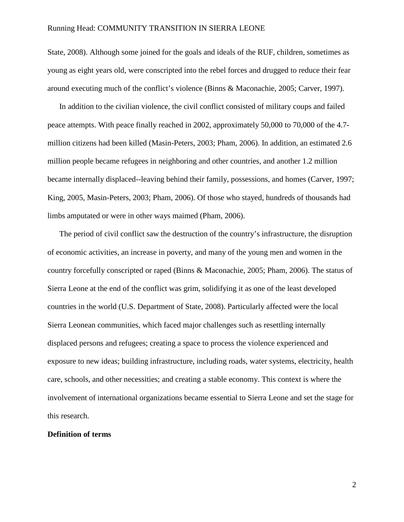State, 2008). Although some joined for the goals and ideals of the RUF, children, sometimes as young as eight years old, were conscripted into the rebel forces and drugged to reduce their fear around executing much of the conflict's violence (Binns & Maconachie, 2005; Carver, 1997).

In addition to the civilian violence, the civil conflict consisted of military coups and failed peace attempts. With peace finally reached in 2002, approximately 50,000 to 70,000 of the 4.7 million citizens had been killed (Masin-Peters, 2003; Pham, 2006). In addition, an estimated 2.6 million people became refugees in neighboring and other countries, and another 1.2 million became internally displaced--leaving behind their family, possessions, and homes (Carver, 1997; King, 2005, Masin-Peters, 2003; Pham, 2006). Of those who stayed, hundreds of thousands had limbs amputated or were in other ways maimed (Pham, 2006).

The period of civil conflict saw the destruction of the country's infrastructure, the disruption of economic activities, an increase in poverty, and many of the young men and women in the country forcefully conscripted or raped (Binns & Maconachie, 2005; Pham, 2006). The status of Sierra Leone at the end of the conflict was grim, solidifying it as one of the least developed countries in the world (U.S. Department of State, 2008). Particularly affected were the local Sierra Leonean communities, which faced major challenges such as resettling internally displaced persons and refugees; creating a space to process the violence experienced and exposure to new ideas; building infrastructure, including roads, water systems, electricity, health care, schools, and other necessities; and creating a stable economy. This context is where the involvement of international organizations became essential to Sierra Leone and set the stage for this research.

#### **Definition of terms**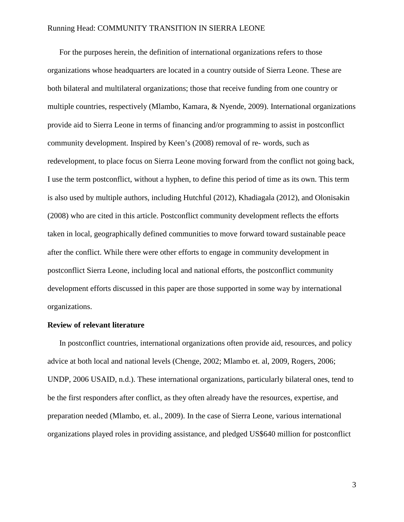For the purposes herein, the definition of international organizations refers to those organizations whose headquarters are located in a country outside of Sierra Leone. These are both bilateral and multilateral organizations; those that receive funding from one country or multiple countries, respectively (Mlambo, Kamara, & Nyende, 2009). International organizations provide aid to Sierra Leone in terms of financing and/or programming to assist in postconflict community development. Inspired by Keen's (2008) removal of re- words, such as redevelopment, to place focus on Sierra Leone moving forward from the conflict not going back, I use the term postconflict, without a hyphen, to define this period of time as its own. This term is also used by multiple authors, including Hutchful (2012), Khadiagala (2012), and Olonisakin (2008) who are cited in this article. Postconflict community development reflects the efforts taken in local, geographically defined communities to move forward toward sustainable peace after the conflict. While there were other efforts to engage in community development in postconflict Sierra Leone, including local and national efforts, the postconflict community development efforts discussed in this paper are those supported in some way by international organizations.

#### **Review of relevant literature**

In postconflict countries, international organizations often provide aid, resources, and policy advice at both local and national levels (Chenge, 2002; Mlambo et. al, 2009, Rogers, 2006; UNDP, 2006 USAID, n.d.). These international organizations, particularly bilateral ones, tend to be the first responders after conflict, as they often already have the resources, expertise, and preparation needed (Mlambo, et. al., 2009). In the case of Sierra Leone, various international organizations played roles in providing assistance, and pledged US\$640 million for postconflict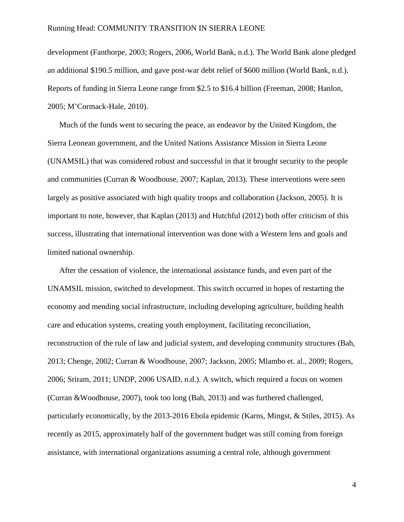development (Fanthorpe, 2003; Rogers, 2006, World Bank, n.d.). The World Bank alone pledged an additional \$190.5 million, and gave post-war debt relief of \$600 million (World Bank, n.d.). Reports of funding in Sierra Leone range from \$2.5 to \$16.4 billion (Freeman, 2008; Hanlon, 2005; M'Cormack-Hale, 2010).

Much of the funds went to securing the peace, an endeavor by the United Kingdom, the Sierra Leonean government, and the United Nations Assistance Mission in Sierra Leone (UNAMSIL) that was considered robust and successful in that it brought security to the people and communities (Curran & Woodhouse, 2007; Kaplan, 2013). These interventions were seen largely as positive associated with high quality troops and collaboration (Jackson, 2005). It is important to note, however, that Kaplan (2013) and Hutchful (2012) both offer criticism of this success, illustrating that international intervention was done with a Western lens and goals and limited national ownership.

After the cessation of violence, the international assistance funds, and even part of the UNAMSIL mission, switched to development. This switch occurred in hopes of restarting the economy and mending social infrastructure, including developing agriculture, building health care and education systems, creating youth employment, facilitating reconciliation, reconstruction of the rule of law and judicial system, and developing community structures (Bah, 2013; Chenge, 2002; Curran & Woodhouse, 2007; Jackson, 2005; Mlambo et. al., 2009; Rogers, 2006; Sriram, 2011; UNDP, 2006 USAID, n.d.). A switch, which required a focus on women (Curran &Woodhouse, 2007), took too long (Bah, 2013) and was furthered challenged, particularly economically, by the 2013-2016 Ebola epidemic (Karns, Mingst, & Stiles, 2015). As recently as 2015, approximately half of the government budget was still coming from foreign assistance, with international organizations assuming a central role, although government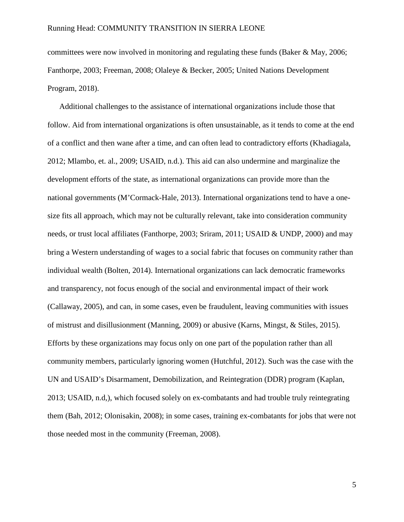committees were now involved in monitoring and regulating these funds (Baker & May, 2006; Fanthorpe, 2003; Freeman, 2008; Olaleye & Becker, 2005; United Nations Development Program, 2018).

Additional challenges to the assistance of international organizations include those that follow. Aid from international organizations is often unsustainable, as it tends to come at the end of a conflict and then wane after a time, and can often lead to contradictory efforts (Khadiagala, 2012; Mlambo, et. al., 2009; USAID, n.d.). This aid can also undermine and marginalize the development efforts of the state, as international organizations can provide more than the national governments (M'Cormack-Hale, 2013). International organizations tend to have a onesize fits all approach, which may not be culturally relevant, take into consideration community needs, or trust local affiliates (Fanthorpe, 2003; Sriram, 2011; USAID & UNDP, 2000) and may bring a Western understanding of wages to a social fabric that focuses on community rather than individual wealth (Bolten, 2014). International organizations can lack democratic frameworks and transparency, not focus enough of the social and environmental impact of their work (Callaway, 2005), and can, in some cases, even be fraudulent, leaving communities with issues of mistrust and disillusionment (Manning, 2009) or abusive (Karns, Mingst, & Stiles, 2015). Efforts by these organizations may focus only on one part of the population rather than all community members, particularly ignoring women (Hutchful, 2012). Such was the case with the UN and USAID's Disarmament, Demobilization, and Reintegration (DDR) program (Kaplan, 2013; USAID, n.d,), which focused solely on ex-combatants and had trouble truly reintegrating them (Bah, 2012; Olonisakin, 2008); in some cases, training ex-combatants for jobs that were not those needed most in the community (Freeman, 2008).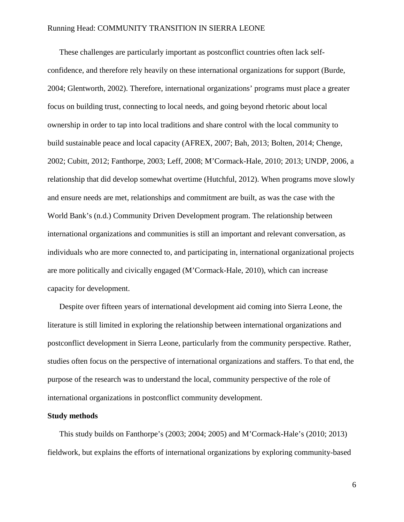These challenges are particularly important as postconflict countries often lack selfconfidence, and therefore rely heavily on these international organizations for support (Burde, 2004; Glentworth, 2002). Therefore, international organizations' programs must place a greater focus on building trust, connecting to local needs, and going beyond rhetoric about local ownership in order to tap into local traditions and share control with the local community to build sustainable peace and local capacity (AFREX, 2007; Bah, 2013; Bolten, 2014; Chenge, 2002; Cubitt, 2012; Fanthorpe, 2003; Leff, 2008; M'Cormack-Hale, 2010; 2013; UNDP, 2006, a relationship that did develop somewhat overtime (Hutchful, 2012). When programs move slowly and ensure needs are met, relationships and commitment are built, as was the case with the World Bank's (n.d.) Community Driven Development program. The relationship between international organizations and communities is still an important and relevant conversation, as individuals who are more connected to, and participating in, international organizational projects are more politically and civically engaged (M'Cormack-Hale, 2010), which can increase capacity for development.

Despite over fifteen years of international development aid coming into Sierra Leone, the literature is still limited in exploring the relationship between international organizations and postconflict development in Sierra Leone, particularly from the community perspective. Rather, studies often focus on the perspective of international organizations and staffers. To that end, the purpose of the research was to understand the local, community perspective of the role of international organizations in postconflict community development.

#### **Study methods**

This study builds on Fanthorpe's (2003; 2004; 2005) and M'Cormack-Hale's (2010; 2013) fieldwork, but explains the efforts of international organizations by exploring community-based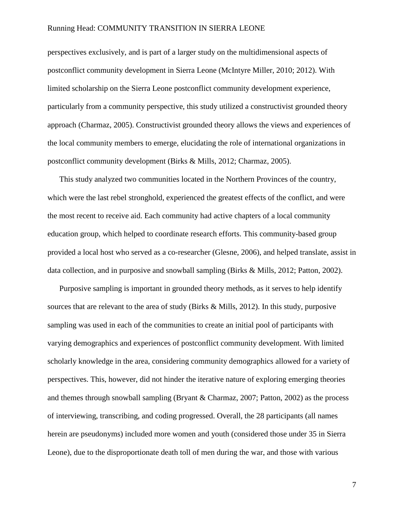perspectives exclusively, and is part of a larger study on the multidimensional aspects of postconflict community development in Sierra Leone (McIntyre Miller, 2010; 2012). With limited scholarship on the Sierra Leone postconflict community development experience, particularly from a community perspective, this study utilized a constructivist grounded theory approach (Charmaz, 2005). Constructivist grounded theory allows the views and experiences of the local community members to emerge, elucidating the role of international organizations in postconflict community development (Birks & Mills, 2012; Charmaz, 2005).

This study analyzed two communities located in the Northern Provinces of the country, which were the last rebel stronghold, experienced the greatest effects of the conflict, and were the most recent to receive aid. Each community had active chapters of a local community education group, which helped to coordinate research efforts. This community-based group provided a local host who served as a co-researcher (Glesne, 2006), and helped translate, assist in data collection, and in purposive and snowball sampling (Birks & Mills, 2012; Patton, 2002).

Purposive sampling is important in grounded theory methods, as it serves to help identify sources that are relevant to the area of study (Birks & Mills, 2012). In this study, purposive sampling was used in each of the communities to create an initial pool of participants with varying demographics and experiences of postconflict community development. With limited scholarly knowledge in the area, considering community demographics allowed for a variety of perspectives. This, however, did not hinder the iterative nature of exploring emerging theories and themes through snowball sampling (Bryant & Charmaz, 2007; Patton, 2002) as the process of interviewing, transcribing, and coding progressed. Overall, the 28 participants (all names herein are pseudonyms) included more women and youth (considered those under 35 in Sierra Leone), due to the disproportionate death toll of men during the war, and those with various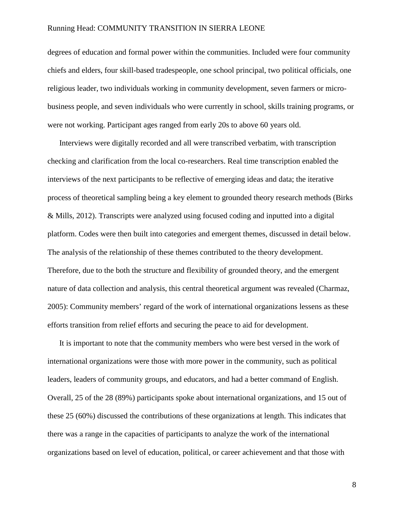degrees of education and formal power within the communities. Included were four community chiefs and elders, four skill-based tradespeople, one school principal, two political officials, one religious leader, two individuals working in community development, seven farmers or microbusiness people, and seven individuals who were currently in school, skills training programs, or were not working. Participant ages ranged from early 20s to above 60 years old.

Interviews were digitally recorded and all were transcribed verbatim, with transcription checking and clarification from the local co-researchers. Real time transcription enabled the interviews of the next participants to be reflective of emerging ideas and data; the iterative process of theoretical sampling being a key element to grounded theory research methods (Birks & Mills, 2012). Transcripts were analyzed using focused coding and inputted into a digital platform. Codes were then built into categories and emergent themes, discussed in detail below. The analysis of the relationship of these themes contributed to the theory development. Therefore, due to the both the structure and flexibility of grounded theory, and the emergent nature of data collection and analysis, this central theoretical argument was revealed (Charmaz, 2005): Community members' regard of the work of international organizations lessens as these efforts transition from relief efforts and securing the peace to aid for development.

It is important to note that the community members who were best versed in the work of international organizations were those with more power in the community, such as political leaders, leaders of community groups, and educators, and had a better command of English. Overall, 25 of the 28 (89%) participants spoke about international organizations, and 15 out of these 25 (60%) discussed the contributions of these organizations at length. This indicates that there was a range in the capacities of participants to analyze the work of the international organizations based on level of education, political, or career achievement and that those with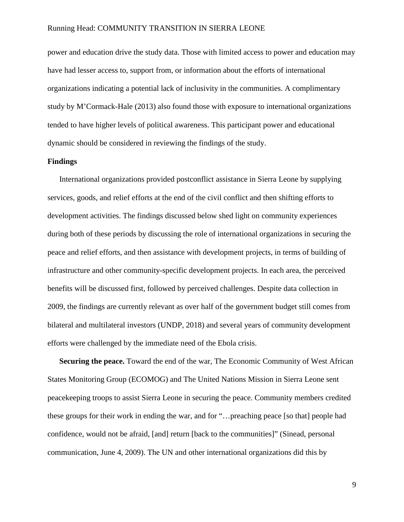power and education drive the study data. Those with limited access to power and education may have had lesser access to, support from, or information about the efforts of international organizations indicating a potential lack of inclusivity in the communities. A complimentary study by M'Cormack-Hale (2013) also found those with exposure to international organizations tended to have higher levels of political awareness. This participant power and educational dynamic should be considered in reviewing the findings of the study.

#### **Findings**

International organizations provided postconflict assistance in Sierra Leone by supplying services, goods, and relief efforts at the end of the civil conflict and then shifting efforts to development activities. The findings discussed below shed light on community experiences during both of these periods by discussing the role of international organizations in securing the peace and relief efforts, and then assistance with development projects, in terms of building of infrastructure and other community-specific development projects. In each area, the perceived benefits will be discussed first, followed by perceived challenges. Despite data collection in 2009, the findings are currently relevant as over half of the government budget still comes from bilateral and multilateral investors (UNDP, 2018) and several years of community development efforts were challenged by the immediate need of the Ebola crisis.

**Securing the peace.** Toward the end of the war, The Economic Community of West African States Monitoring Group (ECOMOG) and The United Nations Mission in Sierra Leone sent peacekeeping troops to assist Sierra Leone in securing the peace. Community members credited these groups for their work in ending the war, and for "…preaching peace [so that] people had confidence, would not be afraid, [and] return [back to the communities]" (Sinead, personal communication, June 4, 2009). The UN and other international organizations did this by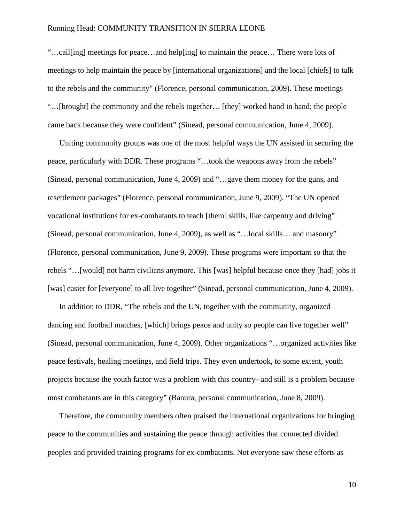"…call[ing] meetings for peace…and help[ing] to maintain the peace… There were lots of meetings to help maintain the peace by [international organizations] and the local [chiefs] to talk to the rebels and the community" (Florence, personal communication, 2009). These meetings "…[brought] the community and the rebels together… [they] worked hand in hand; the people came back because they were confident" (Sinead, personal communication, June 4, 2009).

Uniting community groups was one of the most helpful ways the UN assisted in securing the peace, particularly with DDR. These programs "…took the weapons away from the rebels" (Sinead, personal communication, June 4, 2009) and "…gave them money for the guns, and resettlement packages" (Florence, personal communication, June 9, 2009). "The UN opened vocational institutions for ex-combatants to teach [them] skills, like carpentry and driving" (Sinead, personal communication, June 4, 2009), as well as "…local skills… and masonry" (Florence, personal communication, June 9, 2009). These programs were important so that the rebels "…[would] not harm civilians anymore. This [was] helpful because once they [had] jobs it [was] easier for [everyone] to all live together" (Sinead, personal communication, June 4, 2009).

In addition to DDR, "The rebels and the UN, together with the community, organized dancing and football matches, [which] brings peace and unity so people can live together well" (Sinead, personal communication, June 4, 2009). Other organizations "…organized activities like peace festivals, healing meetings, and field trips. They even undertook, to some extent, youth projects because the youth factor was a problem with this country--and still is a problem because most combatants are in this category" (Banura, personal communication, June 8, 2009).

Therefore, the community members often praised the international organizations for bringing peace to the communities and sustaining the peace through activities that connected divided peoples and provided training programs for ex-combatants. Not everyone saw these efforts as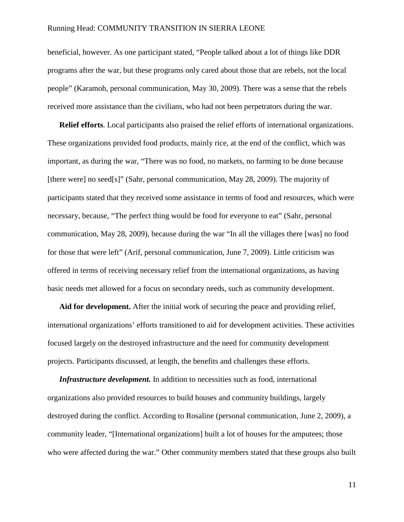beneficial, however. As one participant stated, "People talked about a lot of things like DDR programs after the war, but these programs only cared about those that are rebels, not the local people" (Karamoh, personal communication, May 30, 2009). There was a sense that the rebels received more assistance than the civilians, who had not been perpetrators during the war.

**Relief efforts**. Local participants also praised the relief efforts of international organizations. These organizations provided food products, mainly rice, at the end of the conflict, which was important, as during the war, "There was no food, no markets, no farming to be done because [there were] no seed[s]" (Sahr, personal communication, May 28, 2009). The majority of participants stated that they received some assistance in terms of food and resources, which were necessary, because, "The perfect thing would be food for everyone to eat" (Sahr, personal communication, May 28, 2009), because during the war "In all the villages there [was] no food for those that were left" (Arif, personal communication, June 7, 2009). Little criticism was offered in terms of receiving necessary relief from the international organizations, as having basic needs met allowed for a focus on secondary needs, such as community development.

**Aid for development.** After the initial work of securing the peace and providing relief, international organizations' efforts transitioned to aid for development activities. These activities focused largely on the destroyed infrastructure and the need for community development projects. Participants discussed, at length, the benefits and challenges these efforts.

*Infrastructure development.* In addition to necessities such as food, international organizations also provided resources to build houses and community buildings, largely destroyed during the conflict. According to Rosaline (personal communication, June 2, 2009), a community leader, "[International organizations] built a lot of houses for the amputees; those who were affected during the war." Other community members stated that these groups also built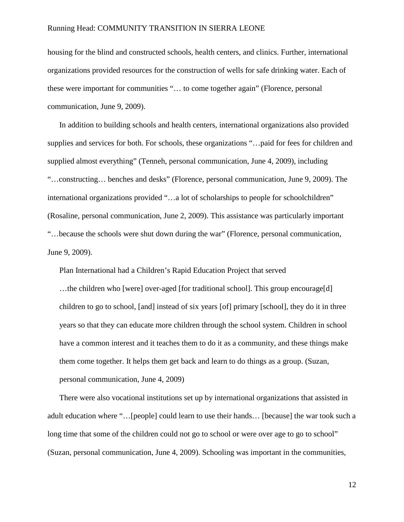housing for the blind and constructed schools, health centers, and clinics. Further, international organizations provided resources for the construction of wells for safe drinking water. Each of these were important for communities "… to come together again" (Florence, personal communication, June 9, 2009).

In addition to building schools and health centers, international organizations also provided supplies and services for both. For schools, these organizations "…paid for fees for children and supplied almost everything" (Tenneh, personal communication, June 4, 2009), including "…constructing… benches and desks" (Florence, personal communication, June 9, 2009). The international organizations provided "…a lot of scholarships to people for schoolchildren" (Rosaline, personal communication, June 2, 2009). This assistance was particularly important "…because the schools were shut down during the war" (Florence, personal communication, June 9, 2009).

Plan International had a Children's Rapid Education Project that served

…the children who [were] over-aged [for traditional school]. This group encourage[d] children to go to school, [and] instead of six years [of] primary [school], they do it in three years so that they can educate more children through the school system. Children in school have a common interest and it teaches them to do it as a community, and these things make them come together. It helps them get back and learn to do things as a group. (Suzan, personal communication, June 4, 2009)

There were also vocational institutions set up by international organizations that assisted in adult education where "…[people] could learn to use their hands… [because] the war took such a long time that some of the children could not go to school or were over age to go to school" (Suzan, personal communication, June 4, 2009). Schooling was important in the communities,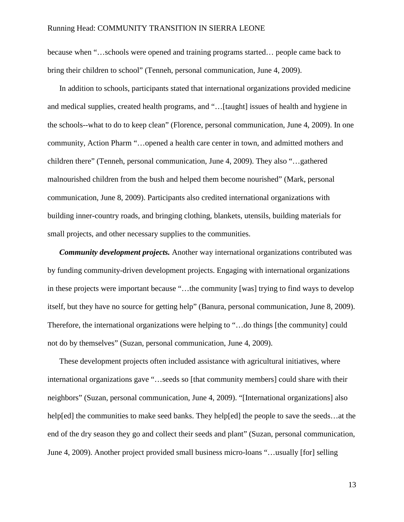because when "…schools were opened and training programs started… people came back to bring their children to school" (Tenneh, personal communication, June 4, 2009).

In addition to schools, participants stated that international organizations provided medicine and medical supplies, created health programs, and "…[taught] issues of health and hygiene in the schools--what to do to keep clean" (Florence, personal communication, June 4, 2009). In one community, Action Pharm "…opened a health care center in town, and admitted mothers and children there" (Tenneh, personal communication, June 4, 2009). They also "…gathered malnourished children from the bush and helped them become nourished" (Mark, personal communication, June 8, 2009). Participants also credited international organizations with building inner-country roads, and bringing clothing, blankets, utensils, building materials for small projects, and other necessary supplies to the communities.

*Community development projects.* Another way international organizations contributed was by funding community-driven development projects. Engaging with international organizations in these projects were important because "…the community [was] trying to find ways to develop itself, but they have no source for getting help" (Banura, personal communication, June 8, 2009). Therefore, the international organizations were helping to "…do things [the community] could not do by themselves" (Suzan, personal communication, June 4, 2009).

These development projects often included assistance with agricultural initiatives, where international organizations gave "…seeds so [that community members] could share with their neighbors" (Suzan, personal communication, June 4, 2009). "[International organizations] also help[ed] the communities to make seed banks. They help[ed] the people to save the seeds...at the end of the dry season they go and collect their seeds and plant" (Suzan, personal communication, June 4, 2009). Another project provided small business micro-loans "…usually [for] selling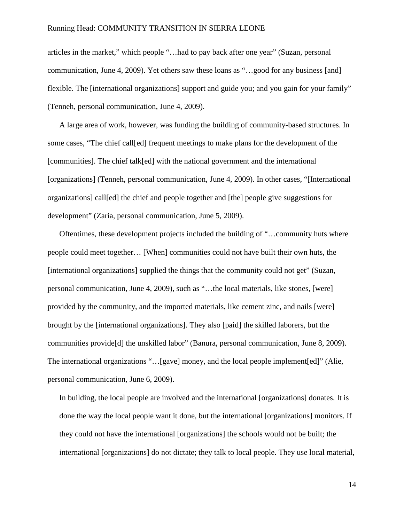articles in the market," which people "…had to pay back after one year" (Suzan, personal communication, June 4, 2009). Yet others saw these loans as "…good for any business [and] flexible. The [international organizations] support and guide you; and you gain for your family" (Tenneh, personal communication, June 4, 2009).

A large area of work, however, was funding the building of community-based structures. In some cases, "The chief call[ed] frequent meetings to make plans for the development of the [communities]. The chief talk[ed] with the national government and the international [organizations] (Tenneh, personal communication, June 4, 2009). In other cases, "[International organizations] call[ed] the chief and people together and [the] people give suggestions for development" (Zaria, personal communication, June 5, 2009).

Oftentimes, these development projects included the building of "…community huts where people could meet together… [When] communities could not have built their own huts, the [international organizations] supplied the things that the community could not get" (Suzan, personal communication, June 4, 2009), such as "…the local materials, like stones, [were] provided by the community, and the imported materials, like cement zinc, and nails [were] brought by the [international organizations]. They also [paid] the skilled laborers, but the communities provide[d] the unskilled labor" (Banura, personal communication, June 8, 2009). The international organizations "…[gave] money, and the local people implement[ed]" (Alie, personal communication, June 6, 2009).

In building, the local people are involved and the international [organizations] donates. It is done the way the local people want it done, but the international [organizations] monitors. If they could not have the international [organizations] the schools would not be built; the international [organizations] do not dictate; they talk to local people. They use local material,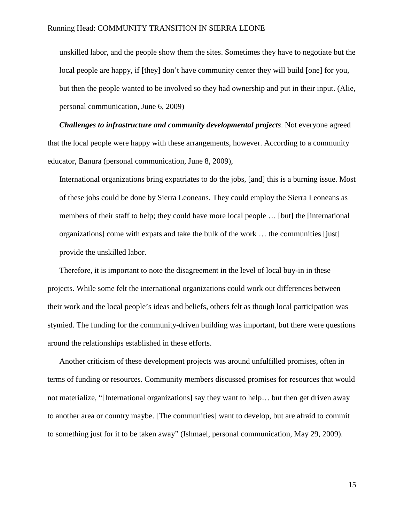unskilled labor, and the people show them the sites. Sometimes they have to negotiate but the local people are happy, if [they] don't have community center they will build [one] for you, but then the people wanted to be involved so they had ownership and put in their input. (Alie, personal communication, June 6, 2009)

*Challenges to infrastructure and community developmental projects*. Not everyone agreed that the local people were happy with these arrangements, however. According to a community educator, Banura (personal communication, June 8, 2009),

International organizations bring expatriates to do the jobs, [and] this is a burning issue. Most of these jobs could be done by Sierra Leoneans. They could employ the Sierra Leoneans as members of their staff to help; they could have more local people … [but] the [international organizations] come with expats and take the bulk of the work … the communities [just] provide the unskilled labor.

Therefore, it is important to note the disagreement in the level of local buy-in in these projects. While some felt the international organizations could work out differences between their work and the local people's ideas and beliefs, others felt as though local participation was stymied. The funding for the community-driven building was important, but there were questions around the relationships established in these efforts.

Another criticism of these development projects was around unfulfilled promises, often in terms of funding or resources. Community members discussed promises for resources that would not materialize, "[International organizations] say they want to help… but then get driven away to another area or country maybe. [The communities] want to develop, but are afraid to commit to something just for it to be taken away" (Ishmael, personal communication, May 29, 2009).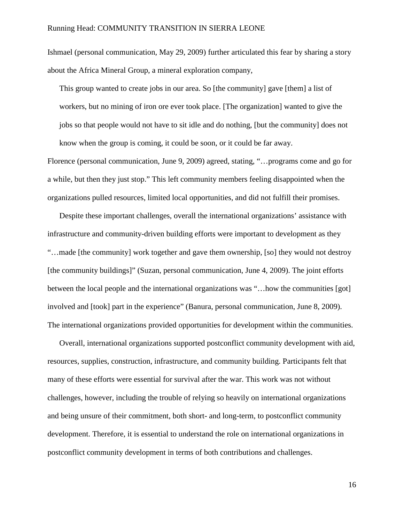Ishmael (personal communication, May 29, 2009) further articulated this fear by sharing a story about the Africa Mineral Group, a mineral exploration company,

This group wanted to create jobs in our area. So [the community] gave [them] a list of workers, but no mining of iron ore ever took place. [The organization] wanted to give the jobs so that people would not have to sit idle and do nothing, [but the community] does not know when the group is coming, it could be soon, or it could be far away.

Florence (personal communication, June 9, 2009) agreed, stating, "…programs come and go for a while, but then they just stop." This left community members feeling disappointed when the organizations pulled resources, limited local opportunities, and did not fulfill their promises.

Despite these important challenges, overall the international organizations' assistance with infrastructure and community-driven building efforts were important to development as they "…made [the community] work together and gave them ownership, [so] they would not destroy [the community buildings]" (Suzan, personal communication, June 4, 2009). The joint efforts between the local people and the international organizations was "... how the communities [got] involved and [took] part in the experience" (Banura, personal communication, June 8, 2009). The international organizations provided opportunities for development within the communities.

Overall, international organizations supported postconflict community development with aid, resources, supplies, construction, infrastructure, and community building. Participants felt that many of these efforts were essential for survival after the war. This work was not without challenges, however, including the trouble of relying so heavily on international organizations and being unsure of their commitment, both short- and long-term, to postconflict community development. Therefore, it is essential to understand the role on international organizations in postconflict community development in terms of both contributions and challenges.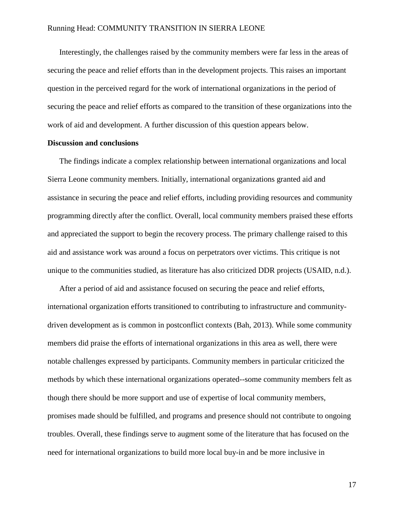Interestingly, the challenges raised by the community members were far less in the areas of securing the peace and relief efforts than in the development projects. This raises an important question in the perceived regard for the work of international organizations in the period of securing the peace and relief efforts as compared to the transition of these organizations into the work of aid and development. A further discussion of this question appears below.

#### **Discussion and conclusions**

The findings indicate a complex relationship between international organizations and local Sierra Leone community members. Initially, international organizations granted aid and assistance in securing the peace and relief efforts, including providing resources and community programming directly after the conflict. Overall, local community members praised these efforts and appreciated the support to begin the recovery process. The primary challenge raised to this aid and assistance work was around a focus on perpetrators over victims. This critique is not unique to the communities studied, as literature has also criticized DDR projects (USAID, n.d.).

After a period of aid and assistance focused on securing the peace and relief efforts, international organization efforts transitioned to contributing to infrastructure and communitydriven development as is common in postconflict contexts (Bah, 2013). While some community members did praise the efforts of international organizations in this area as well, there were notable challenges expressed by participants. Community members in particular criticized the methods by which these international organizations operated--some community members felt as though there should be more support and use of expertise of local community members, promises made should be fulfilled, and programs and presence should not contribute to ongoing troubles. Overall, these findings serve to augment some of the literature that has focused on the need for international organizations to build more local buy-in and be more inclusive in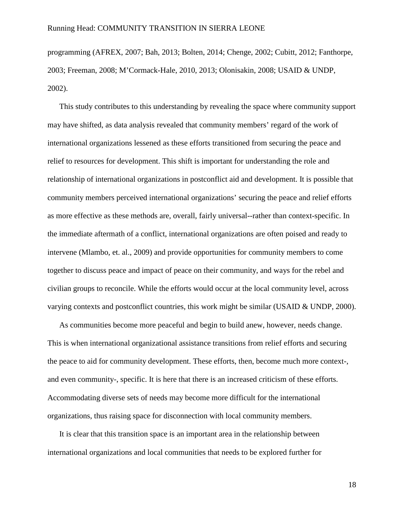programming (AFREX, 2007; Bah, 2013; Bolten, 2014; Chenge, 2002; Cubitt, 2012; Fanthorpe, 2003; Freeman, 2008; M'Cormack-Hale, 2010, 2013; Olonisakin, 2008; USAID & UNDP, 2002).

This study contributes to this understanding by revealing the space where community support may have shifted, as data analysis revealed that community members' regard of the work of international organizations lessened as these efforts transitioned from securing the peace and relief to resources for development. This shift is important for understanding the role and relationship of international organizations in postconflict aid and development. It is possible that community members perceived international organizations' securing the peace and relief efforts as more effective as these methods are, overall, fairly universal--rather than context-specific. In the immediate aftermath of a conflict, international organizations are often poised and ready to intervene (Mlambo, et. al., 2009) and provide opportunities for community members to come together to discuss peace and impact of peace on their community, and ways for the rebel and civilian groups to reconcile. While the efforts would occur at the local community level, across varying contexts and postconflict countries, this work might be similar (USAID & UNDP, 2000).

As communities become more peaceful and begin to build anew, however, needs change. This is when international organizational assistance transitions from relief efforts and securing the peace to aid for community development. These efforts, then, become much more context-, and even community-, specific. It is here that there is an increased criticism of these efforts. Accommodating diverse sets of needs may become more difficult for the international organizations, thus raising space for disconnection with local community members.

It is clear that this transition space is an important area in the relationship between international organizations and local communities that needs to be explored further for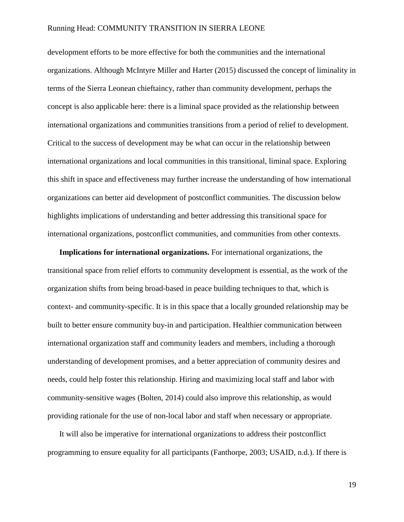development efforts to be more effective for both the communities and the international organizations. Although McIntyre Miller and Harter (2015) discussed the concept of liminality in terms of the Sierra Leonean chieftaincy, rather than community development, perhaps the concept is also applicable here: there is a liminal space provided as the relationship between international organizations and communities transitions from a period of relief to development. Critical to the success of development may be what can occur in the relationship between international organizations and local communities in this transitional, liminal space. Exploring this shift in space and effectiveness may further increase the understanding of how international organizations can better aid development of postconflict communities. The discussion below highlights implications of understanding and better addressing this transitional space for international organizations, postconflict communities, and communities from other contexts.

**Implications for international organizations.** For international organizations, the transitional space from relief efforts to community development is essential, as the work of the organization shifts from being broad-based in peace building techniques to that, which is context- and community-specific. It is in this space that a locally grounded relationship may be built to better ensure community buy-in and participation. Healthier communication between international organization staff and community leaders and members, including a thorough understanding of development promises, and a better appreciation of community desires and needs, could help foster this relationship. Hiring and maximizing local staff and labor with community-sensitive wages (Bolten, 2014) could also improve this relationship, as would providing rationale for the use of non-local labor and staff when necessary or appropriate.

It will also be imperative for international organizations to address their postconflict programming to ensure equality for all participants (Fanthorpe, 2003; USAID, n.d.). If there is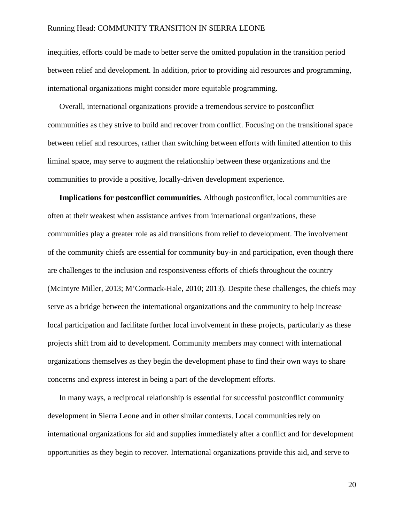inequities, efforts could be made to better serve the omitted population in the transition period between relief and development. In addition, prior to providing aid resources and programming, international organizations might consider more equitable programming.

Overall, international organizations provide a tremendous service to postconflict communities as they strive to build and recover from conflict. Focusing on the transitional space between relief and resources, rather than switching between efforts with limited attention to this liminal space, may serve to augment the relationship between these organizations and the communities to provide a positive, locally-driven development experience.

**Implications for postconflict communities.** Although postconflict, local communities are often at their weakest when assistance arrives from international organizations, these communities play a greater role as aid transitions from relief to development. The involvement of the community chiefs are essential for community buy-in and participation, even though there are challenges to the inclusion and responsiveness efforts of chiefs throughout the country (McIntyre Miller, 2013; M'Cormack-Hale, 2010; 2013). Despite these challenges, the chiefs may serve as a bridge between the international organizations and the community to help increase local participation and facilitate further local involvement in these projects, particularly as these projects shift from aid to development. Community members may connect with international organizations themselves as they begin the development phase to find their own ways to share concerns and express interest in being a part of the development efforts.

In many ways, a reciprocal relationship is essential for successful postconflict community development in Sierra Leone and in other similar contexts. Local communities rely on international organizations for aid and supplies immediately after a conflict and for development opportunities as they begin to recover. International organizations provide this aid, and serve to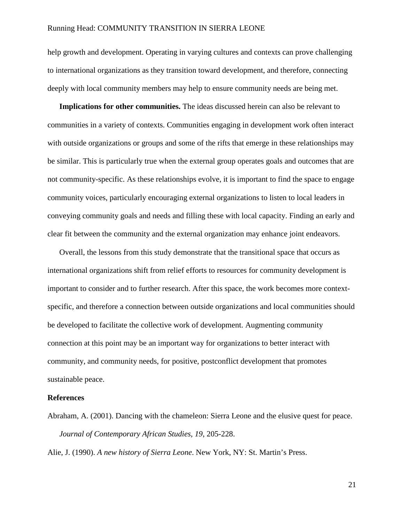help growth and development. Operating in varying cultures and contexts can prove challenging to international organizations as they transition toward development, and therefore, connecting deeply with local community members may help to ensure community needs are being met.

**Implications for other communities.** The ideas discussed herein can also be relevant to communities in a variety of contexts. Communities engaging in development work often interact with outside organizations or groups and some of the rifts that emerge in these relationships may be similar. This is particularly true when the external group operates goals and outcomes that are not community-specific. As these relationships evolve, it is important to find the space to engage community voices, particularly encouraging external organizations to listen to local leaders in conveying community goals and needs and filling these with local capacity. Finding an early and clear fit between the community and the external organization may enhance joint endeavors.

Overall, the lessons from this study demonstrate that the transitional space that occurs as international organizations shift from relief efforts to resources for community development is important to consider and to further research. After this space, the work becomes more contextspecific, and therefore a connection between outside organizations and local communities should be developed to facilitate the collective work of development. Augmenting community connection at this point may be an important way for organizations to better interact with community, and community needs, for positive, postconflict development that promotes sustainable peace.

#### **References**

Abraham, A. (2001). Dancing with the chameleon: Sierra Leone and the elusive quest for peace. *Journal of Contemporary African Studies, 19*, 205-228.

Alie, J. (1990). *A new history of Sierra Leone*. New York, NY: St. Martin's Press.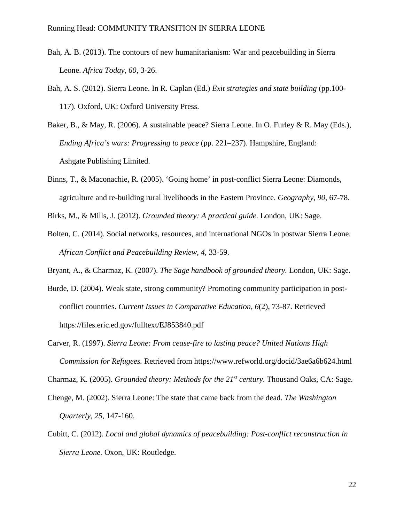- Bah, A. B. (2013). The contours of new humanitarianism: War and peacebuilding in Sierra Leone. *Africa Today, 60,* 3-26.
- Bah, A. S. (2012). Sierra Leone. In R. Caplan (Ed.) *Exit strategies and state building* (pp.100- 117). Oxford, UK: Oxford University Press.
- Baker, B., & May, R. (2006). A sustainable peace? Sierra Leone. In O. Furley & R. May (Eds.), *Ending Africa's wars: Progressing to peace* (pp. 221–237). Hampshire, England: Ashgate Publishing Limited.
- Binns, T., & Maconachie, R. (2005). 'Going home' in post-conflict Sierra Leone: Diamonds, agriculture and re-building rural livelihoods in the Eastern Province. *Geography*, *90*, 67-78.

Birks, M., & Mills, J. (2012). *Grounded theory: A practical guide.* London, UK: Sage.

- Bolten, C. (2014). Social networks, resources, and international NGOs in postwar Sierra Leone. *African Conflict and Peacebuilding Review, 4*, 33-59.
- Bryant, A., & Charmaz, K. (2007). *The Sage handbook of grounded theory.* London, UK: Sage.
- Burde, D. (2004). Weak state, strong community? Promoting community participation in postconflict countries. *Current Issues in Comparative Education, 6*(2), 73-87. Retrieved https://files.eric.ed.gov/fulltext/EJ853840.pdf
- Carver, R. (1997). *Sierra Leone: From cease-fire to lasting peace? United Nations High Commission for Refugees.* Retrieved from https://www.refworld.org/docid/3ae6a6b624.html

Charmaz, K. (2005). *Grounded theory: Methods for the 21st century*. Thousand Oaks, CA: Sage.

- Chenge, M. (2002). Sierra Leone: The state that came back from the dead. *The Washington Quarterly*, *25*, 147-160.
- Cubitt, C. (2012). *Local and global dynamics of peacebuilding: Post-conflict reconstruction in Sierra Leone.* Oxon, UK: Routledge.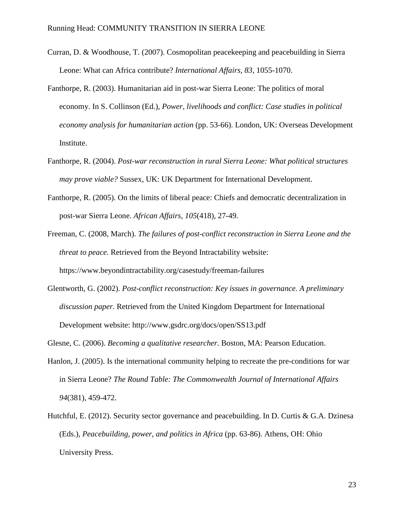- Curran, D. & Woodhouse, T. (2007). Cosmopolitan peacekeeping and peacebuilding in Sierra Leone: What can Africa contribute? *International Affairs, 83,* 1055-1070.
- Fanthorpe, R. (2003). Humanitarian aid in post-war Sierra Leone: The politics of moral economy. In S. Collinson (Ed.), *Power, livelihoods and conflict: Case studies in political economy analysis for humanitarian action* (pp. 53-66). London, UK: Overseas Development Institute.
- Fanthorpe, R. (2004). *Post-war reconstruction in rural Sierra Leone: What political structures may prove viable?* Sussex, UK: UK Department for International Development.
- Fanthorpe, R. (2005). On the limits of liberal peace: Chiefs and democratic decentralization in post-war Sierra Leone. *African Affairs*, *105*(418), 27-49.
- Freeman, C. (2008, March). *The failures of post-conflict reconstruction in Sierra Leone and the threat to peace.* Retrieved from the Beyond Intractability website: https://www.beyondintractability.org/casestudy/freeman-failures
- Glentworth, G. (2002). *Post-conflict reconstruction: Key issues in governance. A preliminary discussion paper.* Retrieved from the United Kingdom Department for International Development website: http://www.gsdrc.org/docs/open/SS13.pdf

Glesne, C. (2006). *Becoming a qualitative researcher.* Boston, MA: Pearson Education.

- Hanlon, J. (2005). Is the international community helping to recreate the pre-conditions for war in Sierra Leone? *The Round Table: The Commonwealth Journal of International Affairs 94*(381), 459-472.
- Hutchful, E. (2012). Security sector governance and peacebuilding. In D. Curtis & G.A. Dzinesa (Eds.), *Peacebuilding, power, and politics in Africa* (pp. 63-86). Athens, OH: Ohio University Press.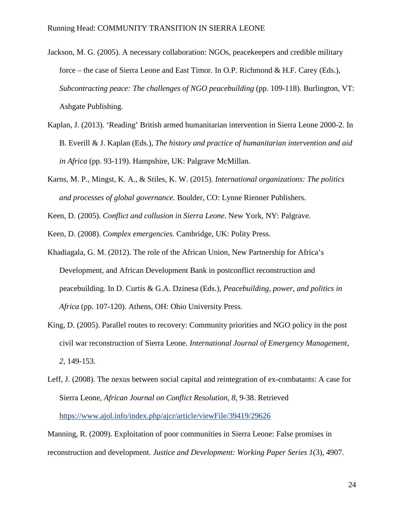- Jackson, M. G. (2005). A necessary collaboration: NGOs, peacekeepers and credible military force – the case of Sierra Leone and East Timor. In O.P. Richmond & H.F. Carey (Eds.), *Subcontracting peace: The challenges of NGO peacebuilding (pp. 109-118). Burlington, VT:* Ashgate Publishing.
- Kaplan, J. (2013). 'Reading' British armed humanitarian intervention in Sierra Leone 2000-2. In B. Everill & J. Kaplan (Eds.), *The history and practice of humanitarian intervention and aid in Africa* (pp. 93-119). Hampshire, UK: Palgrave McMillan.
- Karns, M. P., Mingst, K. A., & Stiles, K. W. (2015). *International organizations: The politics and processes of global governance.* Boulder, CO: Lynne Rienner Publishers.

Keen, D. (2005). *Conflict and collusion in Sierra Leone*. New York, NY: Palgrave.

Keen, D. (2008). *Complex emergencies.* Cambridge, UK: Polity Press.

- Khadiagala, G. M. (2012). The role of the African Union, New Partnership for Africa's Development, and African Development Bank in postconflict reconstruction and peacebuilding. In D. Curtis & G.A. Dzinesa (Eds.), *Peacebuilding, power, and politics in Africa* (pp. 107-120). Athens, OH: Ohio University Press.
- King, D. (2005). Parallel routes to recovery: Community priorities and NGO policy in the post civil war reconstruction of Sierra Leone. *International Journal of Emergency Management*, *2*, 149-153.
- Leff, J. (2008). The nexus between social capital and reintegration of ex-combatants: A case for Sierra Leone, *African Journal on Conflict Resolution, 8*, 9-38. Retrieved <https://www.ajol.info/index.php/ajcr/article/viewFile/39419/29626>

Manning, R. (2009). Exploitation of poor communities in Sierra Leone: False promises in reconstruction and development. *Justice and Development: Working Paper Series 1*(3), 4907.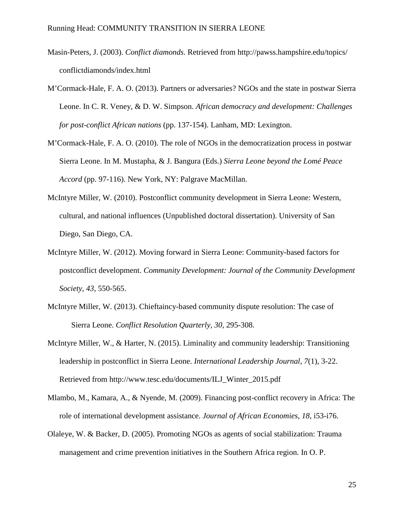- Masin-Peters, J. (2003). *Conflict diamonds*. Retrieved from http://pawss.hampshire.edu/topics/ conflictdiamonds/index.html
- M'Cormack-Hale, F. A. O. (2013). Partners or adversaries? NGOs and the state in postwar Sierra Leone. In C. R. Veney, & D. W. Simpson. *African democracy and development: Challenges for post-conflict African nations* (pp. 137-154). Lanham, MD: Lexington.
- M'Cormack-Hale, F. A. O. (2010). The role of NGOs in the democratization process in postwar Sierra Leone. In M. Mustapha, & J. Bangura (Eds.) *Sierra Leone beyond the Lomé Peace Accord* (pp. 97-116). New York, NY: Palgrave MacMillan.
- McIntyre Miller, W. (2010). Postconflict community development in Sierra Leone: Western, cultural, and national influences (Unpublished doctoral dissertation). University of San Diego, San Diego, CA.
- McIntyre Miller, W. (2012). Moving forward in Sierra Leone: Community-based factors for postconflict development. *Community Development: Journal of the Community Development Society, 43*, 550-565.
- McIntyre Miller, W. (2013). Chieftaincy-based community dispute resolution: The case of Sierra Leone. *Conflict Resolution Quarterly, 30*, 295-308.
- McIntyre Miller, W., & Harter, N. (2015). Liminality and community leadership: Transitioning leadership in postconflict in Sierra Leone. *International Leadership Journal, 7*(1), 3-22. Retrieved from http://www.tesc.edu/documents/ILJ\_Winter\_2015.pdf
- Mlambo, M., Kamara, A., & Nyende, M. (2009). Financing post-conflict recovery in Africa: The role of international development assistance. *Journal of African Economies, 18*, i53-i76.
- Olaleye, W. & Backer, D. (2005). Promoting NGOs as agents of social stabilization: Trauma management and crime prevention initiatives in the Southern Africa region. In O. P.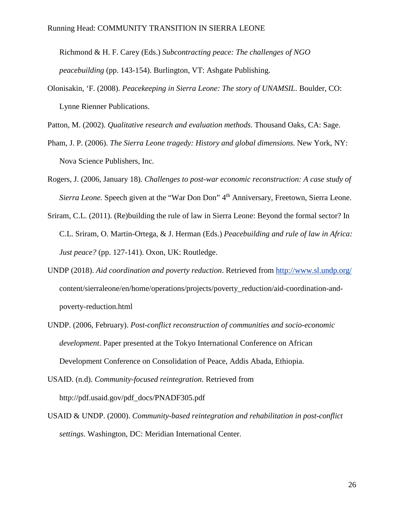Richmond & H. F. Carey (Eds.) *Subcontracting peace: The challenges of NGO peacebuilding* (pp. 143-154). Burlington, VT: Ashgate Publishing.

Olonisakin, 'F. (2008). *Peacekeeping in Sierra Leone: The story of UNAMSIL*. Boulder, CO: Lynne Rienner Publications.

Patton, M. (2002). *Qualitative research and evaluation methods.* Thousand Oaks, CA: Sage.

- Pham, J. P. (2006). *The Sierra Leone tragedy: History and global dimensions*. New York, NY: Nova Science Publishers, Inc.
- Rogers, J. (2006, January 18). *Challenges to post-war economic reconstruction: A case study of Sierra Leone.* Speech given at the "War Don Don" 4<sup>th</sup> Anniversary, Freetown, Sierra Leone.
- Sriram, C.L. (2011). (Re)building the rule of law in Sierra Leone: Beyond the formal sector? In C.L. Sriram, O. Martin-Ortega, & J. Herman (Eds.) *Peacebuilding and rule of law in Africa: Just peace?* (pp. 127-141). Oxon, UK: Routledge.
- UNDP (2018). *Aid coordination and poverty reduction*. Retrieved from <http://www.sl.undp.org/> content/sierraleone/en/home/operations/projects/poverty\_reduction/aid-coordination-andpoverty-reduction.html
- UNDP. (2006, February). *Post-conflict reconstruction of communities and socio-economic development*. Paper presented at the Tokyo International Conference on African Development Conference on Consolidation of Peace, Addis Abada, Ethiopia.
- USAID. (n.d). *Community-focused reintegration*. Retrieved from http://pdf.usaid.gov/pdf\_docs/PNADF305.pdf
- USAID & UNDP. (2000). *Community-based reintegration and rehabilitation in post-conflict settings*. Washington, DC: Meridian International Center.